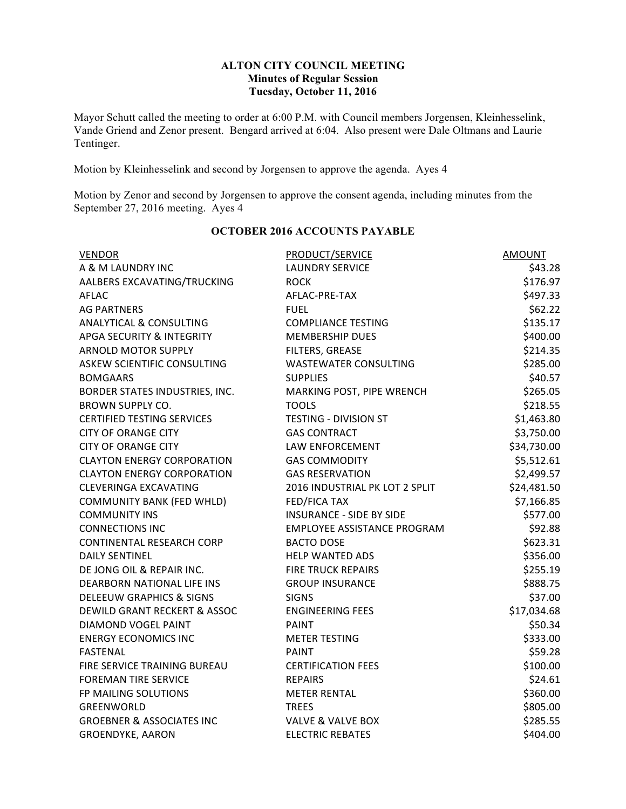## **ALTON CITY COUNCIL MEETING Minutes of Regular Session Tuesday, October 11, 2016**

Mayor Schutt called the meeting to order at 6:00 P.M. with Council members Jorgensen, Kleinhesselink, Vande Griend and Zenor present. Bengard arrived at 6:04. Also present were Dale Oltmans and Laurie Tentinger.

Motion by Kleinhesselink and second by Jorgensen to approve the agenda. Ayes 4

Motion by Zenor and second by Jorgensen to approve the consent agenda, including minutes from the September 27, 2016 meeting. Ayes 4

| <b>VENDOR</b>                        | <b>PRODUCT/SERVICE</b>             | <b>AMOUNT</b> |
|--------------------------------------|------------------------------------|---------------|
| A & M LAUNDRY INC                    | <b>LAUNDRY SERVICE</b>             | \$43.28       |
| AALBERS EXCAVATING/TRUCKING          | <b>ROCK</b>                        | \$176.97      |
| <b>AFLAC</b>                         | AFLAC-PRE-TAX                      | \$497.33      |
| <b>AG PARTNERS</b>                   | FUEL                               | \$62.22       |
| <b>ANALYTICAL &amp; CONSULTING</b>   | <b>COMPLIANCE TESTING</b>          | \$135.17      |
| APGA SECURITY & INTEGRITY            | <b>MEMBERSHIP DUES</b>             | \$400.00      |
| <b>ARNOLD MOTOR SUPPLY</b>           | FILTERS, GREASE                    | \$214.35      |
| ASKEW SCIENTIFIC CONSULTING          | <b>WASTEWATER CONSULTING</b>       | \$285.00      |
| <b>BOMGAARS</b>                      | <b>SUPPLIES</b>                    | \$40.57       |
| BORDER STATES INDUSTRIES, INC.       | MARKING POST, PIPE WRENCH          | \$265.05      |
| <b>BROWN SUPPLY CO.</b>              | <b>TOOLS</b>                       | \$218.55      |
| <b>CERTIFIED TESTING SERVICES</b>    | <b>TESTING - DIVISION ST</b>       | \$1,463.80    |
| <b>CITY OF ORANGE CITY</b>           | <b>GAS CONTRACT</b>                | \$3,750.00    |
| <b>CITY OF ORANGE CITY</b>           | LAW ENFORCEMENT                    | \$34,730.00   |
| <b>CLAYTON ENERGY CORPORATION</b>    | <b>GAS COMMODITY</b>               | \$5,512.61    |
| <b>CLAYTON ENERGY CORPORATION</b>    | <b>GAS RESERVATION</b>             | \$2,499.57    |
| <b>CLEVERINGA EXCAVATING</b>         | 2016 INDUSTRIAL PK LOT 2 SPLIT     | \$24,481.50   |
| <b>COMMUNITY BANK (FED WHLD)</b>     | <b>FED/FICA TAX</b>                | \$7,166.85    |
| <b>COMMUNITY INS</b>                 | <b>INSURANCE - SIDE BY SIDE</b>    | \$577.00      |
| <b>CONNECTIONS INC</b>               | <b>EMPLOYEE ASSISTANCE PROGRAM</b> | \$92.88       |
| <b>CONTINENTAL RESEARCH CORP</b>     | <b>BACTO DOSE</b>                  | \$623.31      |
| <b>DAILY SENTINEL</b>                | <b>HELP WANTED ADS</b>             | \$356.00      |
| DE JONG OIL & REPAIR INC.            | <b>FIRE TRUCK REPAIRS</b>          | \$255.19      |
| DEARBORN NATIONAL LIFE INS           | <b>GROUP INSURANCE</b>             | \$888.75      |
| <b>DELEEUW GRAPHICS &amp; SIGNS</b>  | <b>SIGNS</b>                       | \$37.00       |
| DEWILD GRANT RECKERT & ASSOC         | <b>ENGINEERING FEES</b>            | \$17,034.68   |
| DIAMOND VOGEL PAINT                  | <b>PAINT</b>                       | \$50.34       |
| <b>ENERGY ECONOMICS INC</b>          | <b>METER TESTING</b>               | \$333.00      |
| <b>FASTENAL</b>                      | <b>PAINT</b>                       | \$59.28       |
| FIRE SERVICE TRAINING BUREAU         | <b>CERTIFICATION FEES</b>          | \$100.00      |
| <b>FOREMAN TIRE SERVICE</b>          | <b>REPAIRS</b>                     | \$24.61       |
| FP MAILING SOLUTIONS                 | <b>METER RENTAL</b>                | \$360.00      |
| GREENWORLD                           | <b>TREES</b>                       | \$805.00      |
| <b>GROEBNER &amp; ASSOCIATES INC</b> | <b>VALVE &amp; VALVE BOX</b>       | \$285.55      |
| <b>GROENDYKE, AARON</b>              | <b>ELECTRIC REBATES</b>            | \$404.00      |

## **OCTOBER 2016 ACCOUNTS PAYABLE**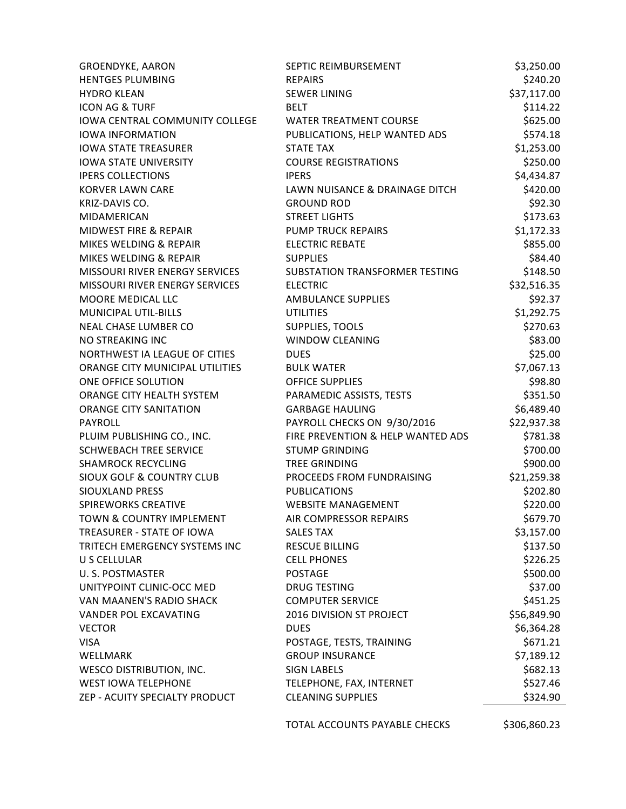| <b>GROENDYKE, AARON</b>               | SEPTIC REIMBURSEMENT              | \$3,250.00  |
|---------------------------------------|-----------------------------------|-------------|
| <b>HENTGES PLUMBING</b>               | <b>REPAIRS</b>                    | \$240.20    |
| <b>HYDRO KLEAN</b>                    | <b>SEWER LINING</b>               | \$37,117.00 |
| <b>ICON AG &amp; TURF</b>             | <b>BELT</b>                       | \$114.22    |
| <b>IOWA CENTRAL COMMUNITY COLLEGE</b> | <b>WATER TREATMENT COURSE</b>     | \$625.00    |
| <b>IOWA INFORMATION</b>               | PUBLICATIONS, HELP WANTED ADS     | \$574.18    |
| <b>IOWA STATE TREASURER</b>           | <b>STATE TAX</b>                  | \$1,253.00  |
| <b>IOWA STATE UNIVERSITY</b>          | <b>COURSE REGISTRATIONS</b>       | \$250.00    |
| <b>IPERS COLLECTIONS</b>              | <b>IPERS</b>                      | \$4,434.87  |
| <b>KORVER LAWN CARE</b>               | LAWN NUISANCE & DRAINAGE DITCH    | \$420.00    |
| KRIZ-DAVIS CO.                        | <b>GROUND ROD</b>                 | \$92.30     |
| MIDAMERICAN                           | <b>STREET LIGHTS</b>              | \$173.63    |
| <b>MIDWEST FIRE &amp; REPAIR</b>      | <b>PUMP TRUCK REPAIRS</b>         | \$1,172.33  |
| MIKES WELDING & REPAIR                | <b>ELECTRIC REBATE</b>            | \$855.00    |
| MIKES WELDING & REPAIR                | <b>SUPPLIES</b>                   | \$84.40     |
| MISSOURI RIVER ENERGY SERVICES        | SUBSTATION TRANSFORMER TESTING    | \$148.50    |
| MISSOURI RIVER ENERGY SERVICES        | <b>ELECTRIC</b>                   | \$32,516.35 |
| MOORE MEDICAL LLC                     | <b>AMBULANCE SUPPLIES</b>         | \$92.37     |
| MUNICIPAL UTIL-BILLS                  | <b>UTILITIES</b>                  | \$1,292.75  |
| NEAL CHASE LUMBER CO                  | SUPPLIES, TOOLS                   | \$270.63    |
| NO STREAKING INC                      | <b>WINDOW CLEANING</b>            | \$83.00     |
| NORTHWEST IA LEAGUE OF CITIES         | <b>DUES</b>                       | \$25.00     |
| ORANGE CITY MUNICIPAL UTILITIES       | <b>BULK WATER</b>                 | \$7,067.13  |
| ONE OFFICE SOLUTION                   | <b>OFFICE SUPPLIES</b>            | \$98.80     |
| ORANGE CITY HEALTH SYSTEM             | PARAMEDIC ASSISTS, TESTS          | \$351.50    |
| <b>ORANGE CITY SANITATION</b>         | <b>GARBAGE HAULING</b>            | \$6,489.40  |
| PAYROLL                               | PAYROLL CHECKS ON 9/30/2016       | \$22,937.38 |
| PLUIM PUBLISHING CO., INC.            | FIRE PREVENTION & HELP WANTED ADS | \$781.38    |
| <b>SCHWEBACH TREE SERVICE</b>         | <b>STUMP GRINDING</b>             | \$700.00    |
| <b>SHAMROCK RECYCLING</b>             | TREE GRINDING                     | \$900.00    |
| <b>SIOUX GOLF &amp; COUNTRY CLUB</b>  | PROCEEDS FROM FUNDRAISING         | \$21,259.38 |
| SIOUXLAND PRESS                       | <b>PUBLICATIONS</b>               | \$202.80    |
| <b>SPIREWORKS CREATIVE</b>            | <b>WEBSITE MANAGEMENT</b>         | \$220.00    |
| TOWN & COUNTRY IMPLEMENT              | AIR COMPRESSOR REPAIRS            | \$679.70    |
| TREASURER - STATE OF IOWA             | <b>SALES TAX</b>                  | \$3,157.00  |
| TRITECH EMERGENCY SYSTEMS INC         | <b>RESCUE BILLING</b>             | \$137.50    |
| U S CELLULAR                          | <b>CELL PHONES</b>                | \$226.25    |
| U.S. POSTMASTER                       | <b>POSTAGE</b>                    | \$500.00    |
| UNITYPOINT CLINIC-OCC MED             | <b>DRUG TESTING</b>               | \$37.00     |
| VAN MAANEN'S RADIO SHACK              | <b>COMPUTER SERVICE</b>           | \$451.25    |
| <b>VANDER POL EXCAVATING</b>          | 2016 DIVISION ST PROJECT          | \$56,849.90 |
| <b>VECTOR</b>                         | <b>DUES</b>                       | \$6,364.28  |
| <b>VISA</b>                           | POSTAGE, TESTS, TRAINING          | \$671.21    |
| WELLMARK                              | <b>GROUP INSURANCE</b>            | \$7,189.12  |
| WESCO DISTRIBUTION, INC.              | <b>SIGN LABELS</b>                | \$682.13    |
| <b>WEST IOWA TELEPHONE</b>            | TELEPHONE, FAX, INTERNET          | \$527.46    |
| ZEP - ACUITY SPECIALTY PRODUCT        | <b>CLEANING SUPPLIES</b>          | \$324.90    |
|                                       |                                   |             |

TOTAL ACCOUNTS PAYABLE CHECKS \$306,860.23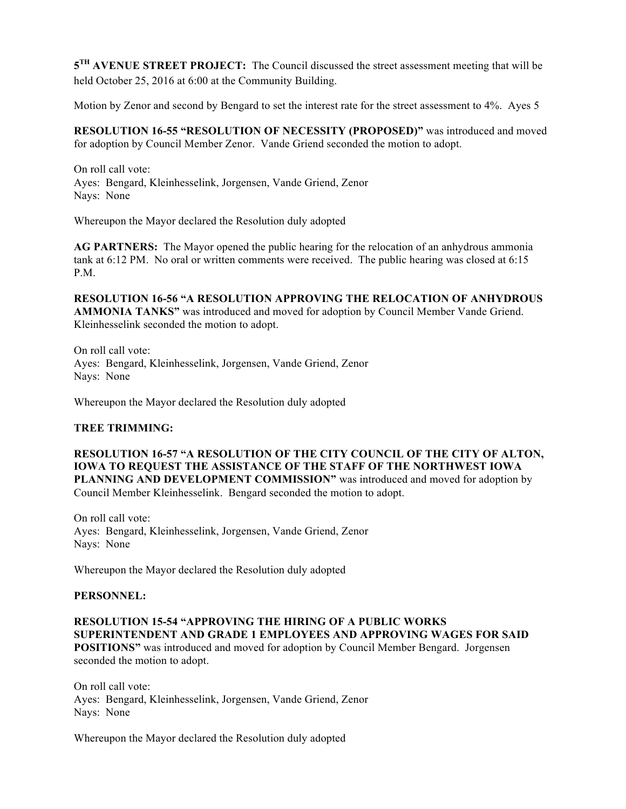**5TH AVENUE STREET PROJECT:** The Council discussed the street assessment meeting that will be held October 25, 2016 at 6:00 at the Community Building.

Motion by Zenor and second by Bengard to set the interest rate for the street assessment to 4%. Ayes 5

**RESOLUTION 16-55 "RESOLUTION OF NECESSITY (PROPOSED)"** was introduced and moved for adoption by Council Member Zenor. Vande Griend seconded the motion to adopt.

On roll call vote: Ayes: Bengard, Kleinhesselink, Jorgensen, Vande Griend, Zenor Nays: None

Whereupon the Mayor declared the Resolution duly adopted

**AG PARTNERS:** The Mayor opened the public hearing for the relocation of an anhydrous ammonia tank at 6:12 PM. No oral or written comments were received. The public hearing was closed at 6:15 P.M.

**RESOLUTION 16-56 "A RESOLUTION APPROVING THE RELOCATION OF ANHYDROUS AMMONIA TANKS"** was introduced and moved for adoption by Council Member Vande Griend. Kleinhesselink seconded the motion to adopt.

On roll call vote: Ayes: Bengard, Kleinhesselink, Jorgensen, Vande Griend, Zenor Nays: None

Whereupon the Mayor declared the Resolution duly adopted

## **TREE TRIMMING:**

**RESOLUTION 16-57 "A RESOLUTION OF THE CITY COUNCIL OF THE CITY OF ALTON, IOWA TO REQUEST THE ASSISTANCE OF THE STAFF OF THE NORTHWEST IOWA**  PLANNING AND DEVELOPMENT COMMISSION" was introduced and moved for adoption by Council Member Kleinhesselink. Bengard seconded the motion to adopt.

On roll call vote: Ayes: Bengard, Kleinhesselink, Jorgensen, Vande Griend, Zenor Nays: None

Whereupon the Mayor declared the Resolution duly adopted

## **PERSONNEL:**

**RESOLUTION 15-54 "APPROVING THE HIRING OF A PUBLIC WORKS SUPERINTENDENT AND GRADE 1 EMPLOYEES AND APPROVING WAGES FOR SAID POSITIONS"** was introduced and moved for adoption by Council Member Bengard. Jorgensen seconded the motion to adopt.

On roll call vote: Ayes: Bengard, Kleinhesselink, Jorgensen, Vande Griend, Zenor Nays: None

Whereupon the Mayor declared the Resolution duly adopted